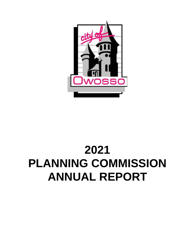

# **2021 PLANNING COMMISSION ANNUAL REPORT**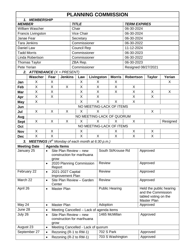| <b>PLANNING COMMISSION</b> |                                                                                            |                          |                                          |                           |                    |   |                   |                           |                     |          |                     |        |
|----------------------------|--------------------------------------------------------------------------------------------|--------------------------|------------------------------------------|---------------------------|--------------------|---|-------------------|---------------------------|---------------------|----------|---------------------|--------|
|                            | 1. MEMBERSHIP                                                                              |                          |                                          |                           |                    |   |                   |                           |                     |          |                     |        |
| <b>MEMBER</b>              |                                                                                            |                          |                                          |                           | <b>TITLE</b>       |   |                   |                           | <b>TERM EXPIRES</b> |          |                     |        |
|                            | <b>William Wascher</b>                                                                     |                          |                                          | Chair                     |                    |   |                   | 06-30-2024                |                     |          |                     |        |
|                            | Francis Livingston                                                                         |                          |                                          | Vice Chair                |                    |   | 06-30-2024        |                           |                     |          |                     |        |
| Janae Fear                 |                                                                                            |                          |                                          |                           | Secretary          |   |                   | 06-30-2024                |                     |          |                     |        |
| <b>Tara Jenkins</b>        |                                                                                            |                          |                                          |                           | Commissioner       |   |                   |                           | 06-30-2022          |          |                     |        |
| Daniel Law                 |                                                                                            |                          |                                          |                           | <b>Council Rep</b> |   |                   |                           | 11-12-2024          |          |                     |        |
| <b>Tadd Morris</b>         |                                                                                            |                          |                                          |                           | Commissioner       |   |                   |                           | 06-30-2023          |          |                     |        |
|                            | Linda Robertson                                                                            |                          |                                          |                           | Commissioner       |   |                   |                           | 06-30-2022          |          |                     |        |
|                            | <b>Thomas Taylor</b>                                                                       |                          |                                          |                           | ZBA Rep.           |   |                   |                           | 06-30-2023          |          |                     |        |
| Pete Yerian                |                                                                                            |                          |                                          |                           | Commissioner       |   |                   |                           |                     |          | Resigned 08/27/2021 |        |
|                            | 2. ATTENDANCE $(X = PRESENT)$                                                              |                          |                                          |                           |                    |   |                   |                           |                     |          |                     |        |
|                            | Wascher                                                                                    | Fear                     | <b>Jenkins</b>                           |                           | Law                |   | Livingston        | <b>Morris</b>             | <b>Robertson</b>    |          | <b>Taylor</b>       | Yerian |
| Jan                        | X                                                                                          | X                        |                                          |                           | Χ                  |   | X                 | X                         |                     |          |                     | X      |
| Feb                        | X                                                                                          | X                        | X                                        |                           | X                  |   | X                 | X                         | X                   |          |                     |        |
| Mar                        | $\mathsf X$                                                                                | X                        |                                          |                           | X                  |   | X                 | X                         | $\sf X$             |          | X                   | X      |
| Apr                        | X                                                                                          | $\sf X$                  |                                          |                           | X                  |   | X                 |                           | X                   |          | X                   |        |
| <b>May</b>                 | X                                                                                          |                          |                                          |                           | X                  |   | X                 | X                         | X                   |          |                     |        |
| Jun                        |                                                                                            |                          | NO MEETING-LACK OF ITEMS                 |                           |                    |   |                   |                           |                     |          |                     |        |
| Jul                        | X                                                                                          | X                        | X                                        |                           | X                  |   | X                 |                           |                     |          | X                   |        |
| Aug                        |                                                                                            |                          |                                          |                           |                    |   |                   | NO MEETING-LACK OF QUORUM |                     |          |                     |        |
| <b>Sept</b>                | X                                                                                          | X                        | X<br>X                                   |                           | X                  | X |                   | X                         |                     | Resigned |                     |        |
| Oct                        |                                                                                            | NO MEETING-LACK OF ITEMS |                                          |                           |                    |   |                   |                           |                     |          |                     |        |
| <b>Nov</b>                 | X                                                                                          | X                        |                                          |                           | X                  |   |                   | X                         | X                   |          | X                   |        |
| <b>Dec</b>                 | X                                                                                          | X                        |                                          |                           | X                  |   | X                 | X                         | X                   |          | X                   |        |
|                            |                                                                                            |                          |                                          |                           |                    |   |                   |                           |                     |          |                     |        |
| 3.                         | <b>MEETINGS</b> (4 <sup>th</sup> Monday of each month at 6:30 p.m.)<br><b>Meeting Date</b> | <b>Agenda Items</b>      |                                          |                           |                    |   |                   |                           |                     |          |                     |        |
| January 25                 |                                                                                            |                          | Site Plan Review - new                   |                           |                    |   |                   | South St/Krouse Rd        |                     |          | Approved            |        |
|                            |                                                                                            |                          | construction for marihuana               |                           |                    |   |                   |                           |                     |          |                     |        |
|                            |                                                                                            | grow                     |                                          |                           |                    |   |                   |                           |                     |          |                     |        |
|                            |                                                                                            | $\bullet$                |                                          | 2020 Planning Commission  |                    |   | <b>Review</b>     |                           |                     | Approved |                     |        |
|                            |                                                                                            | Report                   |                                          |                           |                    |   |                   |                           |                     |          |                     |        |
|                            | February 22                                                                                | $\bullet$                |                                          | 2021-2027 Capital         |                    |   | Review            |                           | Approved            |          |                     |        |
| March 22                   |                                                                                            |                          |                                          | Improvement Plan          |                    |   | <b>Review</b>     |                           |                     |          |                     |        |
|                            |                                                                                            | $\bullet$<br>Center      |                                          | Site Plan Review - Garden |                    |   |                   |                           | Approved            |          |                     |        |
| April 26                   |                                                                                            | $\bullet$                | <b>Master Plan</b>                       | <b>Public Hearing</b>     |                    |   |                   | Held the public hearing   |                     |          |                     |        |
|                            |                                                                                            |                          |                                          |                           |                    |   |                   |                           | and the Commission  |          |                     |        |
|                            |                                                                                            |                          |                                          |                           |                    |   |                   | tabled voting on the      |                     |          |                     |        |
|                            |                                                                                            |                          |                                          |                           |                    |   |                   |                           | Master Plan         |          |                     |        |
| May 24                     |                                                                                            | $\bullet$                | <b>Master Plan</b>                       |                           |                    |   | Adoption          |                           |                     |          | Approved            |        |
| June 28                    |                                                                                            | $\bullet$                | Meeting Cancelled - Lack of agenda items |                           |                    |   |                   |                           |                     |          |                     |        |
| July 26                    |                                                                                            | $\bullet$                | Site Plan Review - new                   |                           |                    |   |                   | 1465 McMillan             |                     |          | Approved            |        |
|                            |                                                                                            |                          | construction for marihuana               |                           |                    |   |                   |                           |                     |          |                     |        |
| August 23                  |                                                                                            | grow<br>$\bullet$        | Meeting Cancelled - Lack of quorum       |                           |                    |   |                   |                           |                     |          |                     |        |
|                            | September 27                                                                               | $\bullet$                | Rezoning (R-1 to RM-1)                   |                           |                    |   | <b>702 S Park</b> |                           |                     |          | Approved            |        |
|                            |                                                                                            | $\bullet$                | Rezoning (R-2 to RM-1)                   |                           |                    |   |                   | 703 S Washington          |                     |          | Approved            |        |
|                            |                                                                                            |                          |                                          |                           |                    |   |                   |                           |                     |          |                     |        |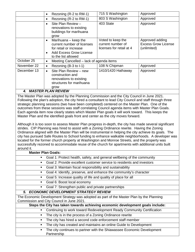|             | Rezoning (R-2 to RM-1)<br>$\bullet$                                                                                                        | 715 S Washington                                                   | Approved                                                     |
|-------------|--------------------------------------------------------------------------------------------------------------------------------------------|--------------------------------------------------------------------|--------------------------------------------------------------|
|             | Rezoning (R-2 to RM-1)<br>٠                                                                                                                | 803 S Washington                                                   | Approved                                                     |
|             | Site Plan Review -<br>$\bullet$<br>renovations to existing<br>buildings for marihuana<br>grow                                              | 403 State                                                          | Approved                                                     |
|             | Marihuana - keep the<br>٠<br>current number of licenses<br>for retail or increase<br><b>Add Excess Grow License</b><br>to the list allowed | Voted to keep the<br>current number of<br>licenses for retail at 4 | Approved adding<br><b>Excess Grow License</b><br>(unlimited) |
| October 25  | Meeting Cancelled – lack of agenda items<br>٠                                                                                              |                                                                    |                                                              |
| November 22 | Rezoning (B-3 to I-1)<br>٠                                                                                                                 | 108 N Chipman                                                      | Approved                                                     |
| December 13 | Site Plan Review - new<br>$\bullet$<br>construction and<br>renovations to existing<br>structures for marihuana<br>grow                     | 1410/1420 Hathaway                                                 | Approved                                                     |
|             | <b>4. MASTER PLAN REVIEW</b>                                                                                                               |                                                                    |                                                              |

The Master Plan was adopted by the Planning Commission and the City Council in June 2021. Following the plan's adoption, the city hired a consultant to lead City Council and staff through three strategic planning sessions (two have been completed) centered on the Master Plan. One of the outcomes from these sessions was staff correlating Council agenda items with Master Plan Goals. Each agenda item now clearly states which Master Plan goals it will work toward. This keeps the Master Plan and the identified goals front and center as the city moves forward.

Although it is too soon to assess Master Plan progress in-depth, the city has made several significant strides. CIP Planning was hired to assist with a Zoning Ordinance rewrite. Having the Zoning Ordinance aligned with the Master Plan will be instrumental in helping the city achieve its goals. The city has pursued Safe Routes to School funding to enhance walkable neighborhoods. A developer was located for the former church property at Washington and Monroe Streets, and the property was successfully rezoned to accommodate reuse of the church for apartments with additional units built around it.

| around it.     |                                                                                          |
|----------------|------------------------------------------------------------------------------------------|
|                | <b>Master Plan Goals:</b>                                                                |
| ٠              | Goal 1: Protect health, safety, and general wellbeing of the community                   |
| $\blacksquare$ | Goal 2: Provide excellent customer service to residents and investors                    |
| $\blacksquare$ | Goal 3: Maintain fiscal responsibility and sustainability                                |
|                | Goal 4: Identify, preserve, and enhance the community's character                        |
|                | Goal 5: Increase quality of life and quality of place for all                            |
|                | Goal 6: Boost local economy                                                              |
|                | Goal 7: Strengthen public and private partnerships                                       |
|                | 5. ECONOMIC DEVELOPMENT STRATEGY REVIEW                                                  |
|                | The Economic Development Strategy was adopted as part of the Master Plan by the Planning |
|                | Commission and City Council in June 2021.                                                |
|                | Steps the City has taken towards achieving economic development goals include:           |
|                | Continuing to work toward Redevelopment Ready Community Certification                    |
|                | The city is in the process of a Zoning Ordinance rewrite                                 |
|                | The city has hired a second code enforcement staff member                                |
|                | The city has created and maintains an online Guide to Development                        |
|                | The city continues to partner with the Shiawassee Economic Development                   |
|                | Partnership                                                                              |
|                |                                                                                          |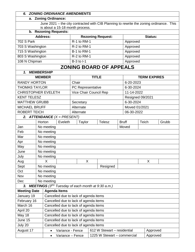#### *6. ZONING ORDINANCE AMENDMENTS*

#### **a. Zoning Ordinance:**

June 2021 – the city contracted with CIB Planning to rewrite the zoning ordinance. This is about a 15-18 month process.

#### **b. Rezoning Requests:**

| <b>Address:</b>  | <b>Rezoning Request:</b> | Status:  |  |  |  |  |  |
|------------------|--------------------------|----------|--|--|--|--|--|
| 702 S Park       | $R-1$ to $RM-1$          | Approved |  |  |  |  |  |
| 703 S Washington | R-2 to RM-1              | Approved |  |  |  |  |  |
| 715 S Washington | <b>B-1 to RM-1</b>       | Approved |  |  |  |  |  |
| 803 S Washington | R-2 to RM-1              | Approved |  |  |  |  |  |
| 108 N Chipman    | $B-3$ to $I-1$           | Approved |  |  |  |  |  |
|                  |                          |          |  |  |  |  |  |

### **ZONING BOARD OF APPEALS**

| 1. MEMBERSHIP              |                                       |                     |                                                             |                   |                        |  |                                                               |                     |                  |       |          |       |
|----------------------------|---------------------------------------|---------------------|-------------------------------------------------------------|-------------------|------------------------|--|---------------------------------------------------------------|---------------------|------------------|-------|----------|-------|
| <b>MEMBER</b>              |                                       |                     |                                                             | <b>TITLE</b>      |                        |  |                                                               | <b>TERM EXPIRES</b> |                  |       |          |       |
| <b>RANDY HORTON</b>        |                                       |                     |                                                             | Chair             |                        |  |                                                               | 6-20-2023           |                  |       |          |       |
| <b>THOMAS TAYLOR</b>       |                                       |                     |                                                             | PC Representative |                        |  | 6-30-2024                                                     |                     |                  |       |          |       |
| <b>CHRISTOPHER EVELETH</b> |                                       |                     |                                                             |                   | Vice Chair Council Rep |  |                                                               |                     | 11-14-2022       |       |          |       |
| <b>KENT TELESZ</b>         |                                       |                     |                                                             |                   |                        |  |                                                               |                     | Resigned 09/2021 |       |          |       |
| <b>MATTHEW GRUBB</b>       |                                       |                     |                                                             |                   | Secretary              |  |                                                               |                     | 6-30-2024        |       |          |       |
| <b>MICHAEL BRUFF</b>       |                                       |                     |                                                             |                   | Alternate              |  |                                                               |                     | Moved 01/2021    |       |          |       |
| <b>ROBERT TEICH</b>        |                                       |                     |                                                             |                   | Alternate              |  |                                                               |                     | 06-30-2022       |       |          |       |
|                            |                                       |                     | 2. ATTENDANCE $(X = PRESENT)$                               |                   |                        |  |                                                               |                     |                  |       |          |       |
|                            | Horton                                |                     | Eveleth                                                     |                   | Taylor                 |  | <b>Telesz</b>                                                 |                     | <b>Bruff</b>     | Teich |          | Grubb |
| Jan                        |                                       | No meeting          |                                                             |                   |                        |  |                                                               |                     | Moved            |       |          |       |
| Feb                        |                                       | No meeting          |                                                             |                   |                        |  |                                                               |                     |                  |       |          |       |
| Mar                        |                                       | No meeting          |                                                             |                   |                        |  |                                                               |                     |                  |       |          |       |
| Apr                        |                                       | No meeting          |                                                             |                   |                        |  |                                                               |                     |                  |       |          |       |
| May                        |                                       | No meeting          |                                                             |                   |                        |  |                                                               |                     |                  |       |          |       |
| June                       |                                       | No meeting          |                                                             |                   |                        |  |                                                               |                     |                  |       |          |       |
| July                       |                                       | No meeting          |                                                             |                   |                        |  |                                                               |                     |                  |       |          |       |
| Aug                        |                                       | $\mathsf{X}$        |                                                             |                   | X                      |  |                                                               |                     |                  |       | X        |       |
| Sept                       |                                       | No meeting          |                                                             | Resigned          |                        |  |                                                               |                     |                  |       |          |       |
| Oct                        |                                       | No meeting          |                                                             |                   |                        |  |                                                               |                     |                  |       |          |       |
| Nov                        |                                       | No meeting          |                                                             |                   |                        |  |                                                               |                     |                  |       |          |       |
| Dec                        |                                       | No meeting          |                                                             |                   |                        |  |                                                               |                     |                  |       |          |       |
| 3 <sub>r</sub>             |                                       |                     |                                                             |                   |                        |  | <b>MEETINGS</b> $(3^{RD}$ Tuesday of each month at 9:30 a.m.) |                     |                  |       |          |       |
| <b>Meeting Date</b>        |                                       | <b>Agenda Items</b> |                                                             |                   |                        |  |                                                               |                     |                  |       |          |       |
| January 19                 |                                       |                     | Cancelled due to lack of agenda items                       |                   |                        |  |                                                               |                     |                  |       |          |       |
| February 16                | Cancelled due to lack of agenda items |                     |                                                             |                   |                        |  |                                                               |                     |                  |       |          |       |
| March 16                   | Cancelled due to lack of agenda items |                     |                                                             |                   |                        |  |                                                               |                     |                  |       |          |       |
| April 20                   | Cancelled due to lack of agenda items |                     |                                                             |                   |                        |  |                                                               |                     |                  |       |          |       |
| May 18                     |                                       |                     | Cancelled due to lack of agenda items                       |                   |                        |  |                                                               |                     |                  |       |          |       |
| June 15                    |                                       |                     | Cancelled due to lack of agenda items                       |                   |                        |  |                                                               |                     |                  |       |          |       |
| July 20                    |                                       |                     | Cancelled due to lack of agenda items                       |                   |                        |  |                                                               |                     |                  |       |          |       |
| August 17                  |                                       | $\bullet$           | Variance - Fence                                            |                   |                        |  | 612 W Stewart - residential                                   |                     |                  |       | Approved |       |
|                            | $\bullet$                             |                     | 1225 W Stewart - commercial<br>Approved<br>Variance - Fence |                   |                        |  |                                                               |                     |                  |       |          |       |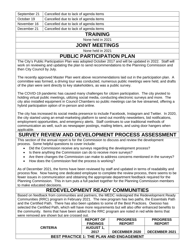| September 21 | Cancelled due to lack of agenda items |
|--------------|---------------------------------------|
| October 19   | Cancelled due to lack of agenda items |
| November 16  | Cancelled due to lack of agenda items |
| December 21  | Cancelled due to lack of agenda items |
|              | <b>TRAINING</b>                       |
|              | None held in 2021                     |

### **JOINT MEETINGS**

None held in 2021

## **PUBLIC PARTICIPATION PLAN**

The City's Public Participation Plan was adopted October 2017 and will be updated in 2022. Staff will work on reviewing and updating the plan to send recommendations to the Planning Commission and then City Council by July.

The recently approved Master Plan went above recommendations laid out in the participation plan. A committee was formed, a driving tour was conducted, numerous public meetings were held, and drafts of the plan were sent directly to key stakeholders, as was a public survey.

The COVID-19 pandemic has caused many challenges for citizen participation. The city pivoted to holding virtual public meetings, utilizing social media, conducting electronic surveys and more. The city also installed equipment in Council Chambers so public meetings can be live streamed, offering a hybrid participation option of in-person and online.

The city has increased its social media presence to include Facebook, Instagram and Twitter. In 2020, the city started using an email-marketing platform to send out monthly newsletters, bid notifications, employment opportunities, and emergency alerts. Staff continues to use traditional methods of communication as well, such as newspaper postings, mailing letters, and using door hangers when applicable.

## **SURVEY REVIEW AND DEVELOPMENT PROCESS ASSESSMENT**

This section of the annual report is for the Commission to discuss and review the development process. Some helpful questions to cover include:

- Did the Commission receive any surveys regarding the development process?
- Is there anything the Commission can do to receive more surveys?
- Are there changes the Commission can make to address concerns mentioned in the surveys?
- How does the Commission feel the process is working?

As of December 2021, the forms have been reviewed by staff and updated in terms of readability and process flow. Now having one dedicated employee to complete the review process, there seems to be fewer issues in communication and obtaining the appropriate department feedback required for the Planning Commission. This in turn puts a full packet together for the Planning Commission members to make educated decisions.

## **REDEVELOPMENT READY COMMUNITIES**

Based on feedback from communities and partners, the MEDC redesigned the Redevelopment Ready Communities (RRC) program in February 2021. The new program has two paths, the Essentials Path and the Certified Path. There has also been updates to some of the Best Practices. Owosso has selected the Certified Path, which will have more requirements but will also offer enhanced benefits to the community. Items that have been added to the RRC program are noted in red while items that were removed are shown but are crossed out.

|                                                 | <b>REPORT OF</b> | <b>PROGRESS</b>      | <b>PROGRESS</b>      |  |  |  |  |  |
|-------------------------------------------------|------------------|----------------------|----------------------|--|--|--|--|--|
|                                                 | <b>FINDINGS</b>  | <b>REPORT</b>        | <b>REPORT</b>        |  |  |  |  |  |
| <b>CRITERIA</b>                                 | <b>AUGUST 1,</b> |                      |                      |  |  |  |  |  |
|                                                 | 2017             | <b>DECEMBER 2020</b> | <b>DECEMBER 2021</b> |  |  |  |  |  |
| <b>BEST PRACTICE 1: THE PLAN AND ENGAGEMENT</b> |                  |                      |                      |  |  |  |  |  |
|                                                 |                  |                      |                      |  |  |  |  |  |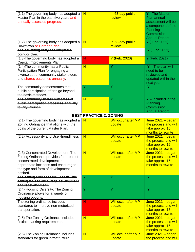| (1.1) The governing body has adopted a<br>Master Plan in the past five years and<br>annually assesses progress.                                                                                      | $\overline{\mathsf{N}}$        | In 63-day public<br>review           | Y - The Master<br>Plan annual<br>assessment will be<br>a component of the<br>Planning<br><b>Commission</b><br><b>Annual Report</b> |
|------------------------------------------------------------------------------------------------------------------------------------------------------------------------------------------------------|--------------------------------|--------------------------------------|------------------------------------------------------------------------------------------------------------------------------------|
| (1.2) The governing body has adopted a<br>Downtown or Corridor Plan.                                                                                                                                 | $\overline{\mathsf{N}}$        | In 63-day public<br>review           | Y (June 2021)                                                                                                                      |
| The governing body has adopted a<br>corridor plan.                                                                                                                                                   |                                |                                      | Y (June 2021)                                                                                                                      |
| (1.3) The governing body has adopted a<br>Capital Improvements Plan.                                                                                                                                 | N                              | Y (Feb. 2020)                        | Y (Feb. 2021)                                                                                                                      |
| (1.4) The community has a Public<br>Participation Plan for engaging a<br>diverse set of community stakeholders<br>and shares outcomes annually.                                                      | $\overline{\mathsf{N}}$        | Y                                    | $Y$ – The plan will<br>need to be<br>reviewed and<br>updated within the<br>next year.                                              |
| The community demonstrates that<br>public participation efforts go beyond<br>the basic methods.                                                                                                      | Y                              | Ÿ                                    | Y                                                                                                                                  |
| The community shares outcomes of<br>public participation processes annually<br>to City Council.                                                                                                      | $\overline{\mathsf{N}}$        | Ÿ                                    | $Y$ – Included in the<br>Planning<br>Commission<br><b>Annual Report</b>                                                            |
|                                                                                                                                                                                                      | <b>BEST PRACTICE 2: ZONING</b> |                                      |                                                                                                                                    |
| $(2.1)$ The governing body has adopted a<br>Zoning Ordinance that aligns with the<br>goals of the current Master Plan.                                                                               | N                              | Will occur after MP<br>update        | June $2021 - \text{begin}$<br>the process and will<br>take approx. 15<br>months to rewrite                                         |
| (2.2) Accessibility and User-friendliness                                                                                                                                                            | $\overline{\mathsf{N}}$        | <b>Will occur after MP</b><br>update | June $2021 - \text{begin}$<br>the process and will<br>take approx. 15<br>months to rewrite                                         |
| (2.3) Concentrated Development: The<br>Zoning Ordinance provides for areas of<br>concentrated development in<br>appropriate locations and encourages<br>the type and form of development<br>desired. | $\overline{\mathsf{N}}$        | Will occur after MP<br>update        | <mark>June 2021 – began</mark><br>the process and will<br>take approx. 15<br>months to rewrite                                     |
| The zoning ordinance includes flexible<br>zoning tools to encourage development<br>and redevelopment.                                                                                                | Y                              | Y                                    | Y                                                                                                                                  |
| (2.4) Housing Diversity: The Zoning<br>Ordinance allows for a variety of<br>housing options.                                                                                                         | Y                              | Ÿ                                    | Y                                                                                                                                  |
| The zoning ordinance includes<br>standards to improve non-motorized<br>transportation.                                                                                                               | N                              | <b>Will occur after MP</b><br>update | June $2021 - \text{begin}$<br>the process and will<br>take approx. 15<br>months to rewrite                                         |
| (2.5) The Zoning Ordinance includes<br>flexible parking requirements.                                                                                                                                | N                              | Will occur after MP<br>update        | June $2021 - \text{begin}$<br>the process and will<br>take approx. 15<br>months to rewrite                                         |
| (2.6) The Zoning Ordinance includes<br>standards for green infrastructure.                                                                                                                           | $\overline{\mathsf{N}}$        | <b>Will occur after MP</b><br>update | June $2021 - \text{begin}$<br>the process and will                                                                                 |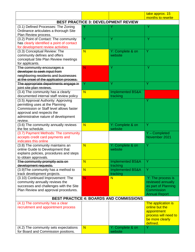|                                                                                                                                                                                                   |                         |                                                | take approx. 15<br>months to rewrite                                                                       |
|---------------------------------------------------------------------------------------------------------------------------------------------------------------------------------------------------|-------------------------|------------------------------------------------|------------------------------------------------------------------------------------------------------------|
|                                                                                                                                                                                                   |                         | <b>BEST PRACTICE 3: DEVELOPMENT REVIEW</b>     |                                                                                                            |
|                                                                                                                                                                                                   |                         |                                                |                                                                                                            |
| (3.1) Defined Processes: The Zoning<br>Ordinance articulates a thorough Site<br>Plan Review process.                                                                                              |                         |                                                |                                                                                                            |
| (3.2) Point of Contact: The community<br>has clearly identified a point of contact<br>for development review activities                                                                           | Ÿ                       | Ÿ                                              | Υ                                                                                                          |
| (3.3) Conceptual Review: The<br>community defines and offers<br>conceptual Site Plan Review meetings<br>for applicants.                                                                           | N                       | Y: Complete & on<br>website                    | Ÿ                                                                                                          |
| The community encourages a<br>developer to seek input from<br>neighboring residents and businesses<br>at the onset of the application process.                                                    | N                       | Ÿ                                              | Y                                                                                                          |
| The appropriate departments engage in<br>joint site plan reviews.                                                                                                                                 | Y                       | Y                                              | Ÿ                                                                                                          |
| (3.4) The community has a clearly<br>documented internal staff review policy                                                                                                                      | N                       | <b>Implemented BS&amp;A</b><br>tracking        |                                                                                                            |
| (3.5) Approval Authority: Approving<br>permitting uses at the Planning<br>Commission or Staff level allows faster<br>approval and respects the<br>administrative nature of development<br>review. |                         |                                                | Ÿ                                                                                                          |
| (3.6) The community annually reviews<br>the fee schedule.                                                                                                                                         | N                       | Y: Complete & on<br>website                    | Y                                                                                                          |
| (3.7) Payment Methods: The community<br>accepts credit card payments and<br>indicates this online                                                                                                 |                         |                                                | Y - Completed<br>November 2021                                                                             |
| (3.8) The community maintains an<br>online Guide to Development that<br>explains policies, procedures and steps<br>to obtain approvals.                                                           | N                       | Y: Complete & on<br>website                    | Y                                                                                                          |
| The community promptly acts on<br>development requests.                                                                                                                                           | $\overline{\mathsf{N}}$ | <b>Implemented BS&amp;A</b><br>tracking        | Y                                                                                                          |
| (3.9) The community has a method to<br>track development projects.                                                                                                                                | N                       | <b>Implemented BS&amp;A</b><br>tracking        | Y                                                                                                          |
| (3.10) Continued Improvement: The<br>community annually reviews the<br>successes and challenges with the Site<br>Plan Review and approval procedures.                                             | N                       | N                                              | Y: The process is<br>reviewed annually<br>as part of Planning<br>Commission<br><b>Annual Report</b>        |
|                                                                                                                                                                                                   |                         | <b>BEST PRACTICE 4: BOARDS AND COMMISSIONS</b> |                                                                                                            |
| (4.1) The community has a clear<br>recruitment and appointment process                                                                                                                            |                         |                                                | The application is<br>online but the<br>appointment<br>process will need to<br>be more clearly<br>defined. |
| (4.2) The community sets expectations<br>for Board and Commission positions.                                                                                                                      | N                       | Y: Complete & on<br>website                    | Ÿ                                                                                                          |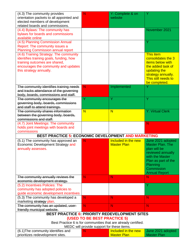| (4.3) The community provides                                           | N                                          | Y: Complete & on                                               |                                         |
|------------------------------------------------------------------------|--------------------------------------------|----------------------------------------------------------------|-----------------------------------------|
| orientation packets to all appointed and                               |                                            | website                                                        |                                         |
| elected members of development                                         |                                            |                                                                |                                         |
| related boards and commissions.                                        |                                            |                                                                |                                         |
| (4.4) Bylaws: The community has                                        |                                            |                                                                | November 2021                           |
| bylaws for boards and commissions<br>available online                  |                                            |                                                                |                                         |
| (4.5) Planning Commission Annual                                       |                                            |                                                                | Y                                       |
| Report: The community issues a                                         |                                            |                                                                |                                         |
| <b>Planning Commission annual report</b>                               |                                            |                                                                |                                         |
| (4.6) Training Strategy: The community                                 |                                            |                                                                | <b>This item</b>                        |
| identifies training goals, funding, how                                |                                            |                                                                | consolidates the 3                      |
| training outcomes are shared,                                          |                                            |                                                                | <b>items below with</b>                 |
| encourages the community and updates                                   |                                            |                                                                | the added task of                       |
| this strategy annually.                                                |                                            |                                                                | updating the                            |
|                                                                        |                                            |                                                                | strategy annually.                      |
|                                                                        |                                            |                                                                | This still needs to                     |
|                                                                        |                                            |                                                                | be completed.                           |
| The community identifies training needs                                | N.                                         | Implemented                                                    |                                         |
| and tracks attendance of the governing                                 |                                            |                                                                |                                         |
| body, boards, commissions and staff.                                   | Ÿ                                          | Ÿ                                                              |                                         |
| The community encourages the<br>governing body, boards, commissions    |                                            |                                                                | Ÿ                                       |
| and staff to attend trainings.                                         |                                            |                                                                |                                         |
| The community shares information                                       | N                                          | N                                                              | <b>Y: Virtual Clerk</b>                 |
| between the governing body, boards,                                    |                                            |                                                                |                                         |
| commissions and staff.                                                 |                                            |                                                                |                                         |
| (4.7) Joint Meetings: The community                                    |                                            |                                                                | N                                       |
| holds joint meetings with boards and                                   |                                            |                                                                |                                         |
|                                                                        |                                            |                                                                |                                         |
| commissions                                                            |                                            |                                                                |                                         |
| <b>BEST PRACTICE 5: ECONOMIC DEVELOPMENT AND MARKETING</b>             |                                            |                                                                |                                         |
| (5.1) The community has approved an                                    | N                                          | Included in the new                                            | June 2021 adopted                       |
| Economic Development Strategy and                                      |                                            | <b>Master Plan</b>                                             | <b>Master Plan. The</b>                 |
| annually assesses.                                                     |                                            |                                                                | plan will be                            |
|                                                                        |                                            |                                                                | reviewed annually                       |
|                                                                        |                                            |                                                                | with the Master                         |
|                                                                        |                                            |                                                                | Plan as part of the                     |
|                                                                        |                                            |                                                                | Planning                                |
|                                                                        |                                            |                                                                | Commission                              |
|                                                                        |                                            |                                                                | <b>Annual Report</b>                    |
| The community annually reviews the                                     | N.                                         | N                                                              | N                                       |
| economic development strategy.                                         |                                            |                                                                | Y                                       |
| (5.2) Incentives Policies: The<br>community has adopted policies to    |                                            |                                                                |                                         |
| guide economic development incentives                                  |                                            |                                                                |                                         |
| (5.3) The community has developed a                                    | N                                          | N                                                              | N                                       |
| marketing strategy plan.                                               |                                            |                                                                |                                         |
| The community has an updated, user-                                    | N                                          | N                                                              | N                                       |
| friendly municipal website.                                            |                                            |                                                                |                                         |
|                                                                        |                                            | <b>BEST PRACTICE 6: PRIORITY REDEVELOPMENT SITES</b>           |                                         |
|                                                                        | (USED TO BE BEST PRACTICE 5)               |                                                                |                                         |
|                                                                        |                                            | Best Practice 6 is for communities that are already certified. |                                         |
|                                                                        | MEDC will provide support for these items. |                                                                |                                         |
| (6.1) The community identifies and<br>prioritizes redevelopment sites. | N                                          | Included in the new<br><b>Master Plan</b>                      | June 2021 adopted<br><b>Master Plan</b> |